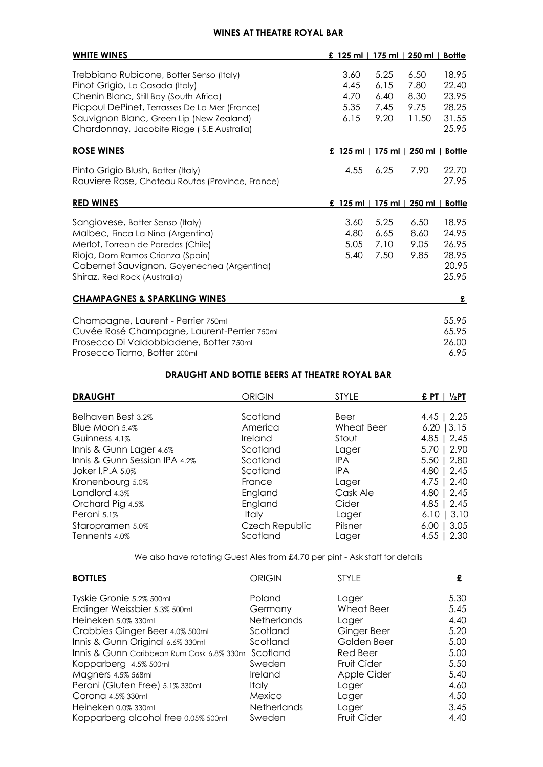## **WINES AT THEATRE ROYAL BAR**

| <b>WHITE WINES</b>                                                                                                                                                                                                                                               | £ 125 ml   175 ml   250 ml   Bottle  |                                      |                                       |                                                    |
|------------------------------------------------------------------------------------------------------------------------------------------------------------------------------------------------------------------------------------------------------------------|--------------------------------------|--------------------------------------|---------------------------------------|----------------------------------------------------|
| Trebbiano Rubicone, Botter Senso (Italy)<br>Pinot Grigio, La Casada (Italy)<br>Chenin Blanc, Still Bay (South Africa)<br>Picpoul DePinet, Terrasses De La Mer (France)<br>Sauvignon Blanc, Green Lip (New Zealand)<br>Chardonnay, Jacobite Ridge (S.E Australia) | 3.60<br>4.45<br>4.70<br>5.35<br>6.15 | 5.25<br>6.15<br>6.40<br>7.45<br>9.20 | 6.50<br>7.80<br>8.30<br>9.75<br>11.50 | 18.95<br>22.40<br>23.95<br>28.25<br>31.55<br>25.95 |
| <b>ROSE WINES</b>                                                                                                                                                                                                                                                | £ 125 ml $\vert$                     | $175$ ml $\vert$                     | 250 ml                                | <b>Bottle</b>                                      |
| Pinto Grigio Blush, Botter (Italy)<br>Rouviere Rose, Chateau Routas (Province, France)                                                                                                                                                                           | 4.55                                 | 6.25                                 | 7.90                                  | 22.70<br>27.95                                     |
| <b>RED WINES</b>                                                                                                                                                                                                                                                 | £ 125 ml   175 ml                    |                                      | 250 ml                                | <b>Bottle</b>                                      |
| Sangiovese, Botter Senso (Italy)<br>Malbec, Finca La Nina (Argentina)<br>Merlot, Torreon de Paredes (Chile)<br>Rioja, Dom Ramos Crianza (Spain)<br>Cabernet Sauvignon, Goyenechea (Argentina)<br>Shiraz, Red Rock (Australia)                                    | 3.60<br>4.80<br>5.05<br>5.40         | 5.25<br>6.65<br>7.10<br>7.50         | 6.50<br>8.60<br>9.05<br>9.85          | 18.95<br>24.95<br>26.95<br>28.95<br>20.95<br>25.95 |
| <b>CHAMPAGNES &amp; SPARKLING WINES</b>                                                                                                                                                                                                                          |                                      |                                      |                                       | £                                                  |
| Champagne, Laurent - Perrier 750ml<br>Cuvée Rosé Champagne, Laurent-Perrier 750ml<br>Prosecco Di Valdobbiadene, Botter 750ml<br>Prosecco Tiamo, Botter 200ml                                                                                                     |                                      |                                      |                                       | 55.95<br>65.95<br>26.00<br>6.95                    |

## **DRAUGHT AND BOTTLE BEERS AT THEATRE ROYAL BAR**

| Belhaven Best 3.2%            | Scotland       | Beer              | $4.45$   2.25 |
|-------------------------------|----------------|-------------------|---------------|
| Blue Moon 5.4%                | America        | <b>Wheat Beer</b> | $6.20$   3.15 |
| Guinness 4.1%                 | Ireland        | Stout             | $4.85$   2.45 |
| Innis & Gunn Lager 4.6%       | Scotland       | Lager             | $5.70$   2.90 |
| Innis & Gunn Session IPA 4.2% | Scotland       | IPA               | $5.50$   2.80 |
| Joker I.P.A 5.0%              | Scotland       | <b>IPA</b>        | $4.80$   2.45 |
| Kronenbourg 5.0%              | France         | Lager             | $4.75$   2.40 |
| Landlord 4.3%                 | England        | Cask Ale          | $4.80$   2.45 |
| Orchard Pig 4.5%              | England        | Cider             | $4.85$   2.45 |
| Peroni 5.1%                   | <b>Italy</b>   | Lager             | $6.10$   3.10 |
| Staropramen 5.0%              | Czech Republic | Pilsner           | $6.00$   3.05 |
| Tennents 4.0%                 | Scotland       | Lager             | $4.55$   2.30 |

We also have rotating Guest Ales from £4.70 per pint - Ask staff for details

| <b>BOTTLES</b>                            | <b>ORIGIN</b>      | <b>STYLE</b> |      |
|-------------------------------------------|--------------------|--------------|------|
| Tyskie Gronie 5.2% 500ml                  | Poland             | Lager        | 5.30 |
| Erdinger Weissbier 5.3% 500ml             | Germany            | Wheat Beer   | 5.45 |
| Heineken 5.0% 330ml                       | Netherlands        | Lager        | 4.40 |
| Crabbies Ginger Beer 4.0% 500ml           | Scotland           | Ginger Beer  | 5.20 |
| Innis & Gunn Original 6.6% 330ml          | Scotland           | Golden Beer  | 5.00 |
| Innis & Gunn Caribbean Rum Cask 6.8% 330m | Scotland           | Red Beer     | 5.00 |
| Kopparberg 4.5% 500ml                     | Sweden             | Fruit Cider  | 5.50 |
| Magners 4.5% 568ml                        | Ireland            | Apple Cider  | 5.40 |
| Peroni (Gluten Free) 5.1% 330ml           | <i>Italy</i>       | Lager        | 4.60 |
| Corona 4.5% 330ml                         | Mexico             | Lager        | 4.50 |
| Heineken 0.0% 330ml                       | <b>Netherlands</b> | Lager        | 3.45 |
| Kopparberg alcohol free 0.05% 500ml       | Sweden             | Fruit Cider  | 4.40 |